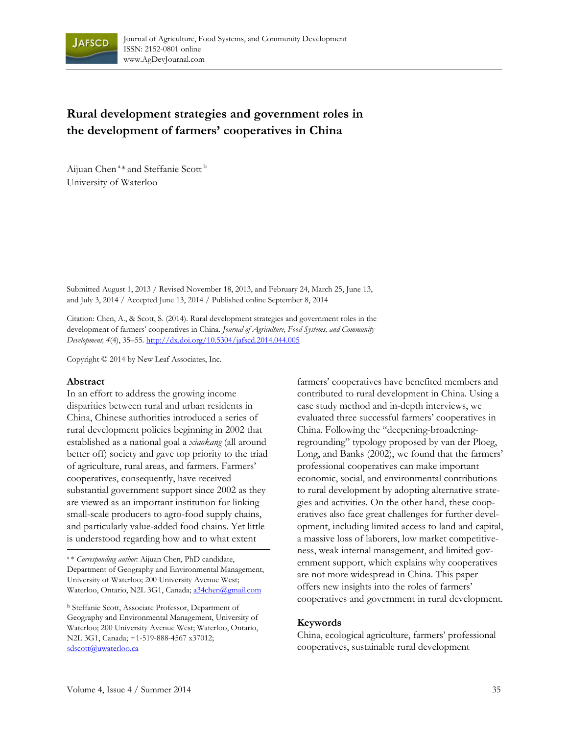

# **Rural development strategies and government roles in the development of farmers' cooperatives in China**

Aijuan Chen<sup>a\*</sup> and Steffanie Scott<sup>b</sup> University of Waterloo

Submitted August 1, 2013 / Revised November 18, 2013, and February 24, March 25, June 13, and July 3, 2014 / Accepted June 13, 2014 / Published online September 8, 2014

Citation: Chen, A., & Scott, S. (2014). Rural development strategies and government roles in the development of farmers' cooperatives in China. *Journal of Agriculture, Food Systems, and Community Development, 4*(4), 35–55. http://dx.doi.org/10.5304/jafscd.2014.044.005

Copyright © 2014 by New Leaf Associates, Inc.

#### **Abstract**

In an effort to address the growing income disparities between rural and urban residents in China, Chinese authorities introduced a series of rural development policies beginning in 2002 that established as a national goal a *xiaokang* (all around better off) society and gave top priority to the triad of agriculture, rural areas, and farmers. Farmers' cooperatives, consequently, have received substantial government support since 2002 as they are viewed as an important institution for linking small-scale producers to agro-food supply chains, and particularly value-added food chains. Yet little is understood regarding how and to what extent

farmers' cooperatives have benefited members and contributed to rural development in China. Using a case study method and in-depth interviews, we evaluated three successful farmers' cooperatives in China. Following the "deepening-broadeningregrounding" typology proposed by van der Ploeg, Long, and Banks (2002), we found that the farmers' professional cooperatives can make important economic, social, and environmental contributions to rural development by adopting alternative strategies and activities. On the other hand, these cooperatives also face great challenges for further development, including limited access to land and capital, a massive loss of laborers, low market competitiveness, weak internal management, and limited government support, which explains why cooperatives are not more widespread in China. This paper offers new insights into the roles of farmers' cooperatives and government in rural development.

#### **Keywords**

China, ecological agriculture, farmers' professional cooperatives, sustainable rural development

<sup>a</sup> \* *Corresponding author:* Aijuan Chen, PhD candidate, Department of Geography and Environmental Management, University of Waterloo; 200 University Avenue West; Waterloo, Ontario, N2L 3G1, Canada; a34chen@gmail.com

b Steffanie Scott, Associate Professor, Department of Geography and Environmental Management, University of Waterloo; 200 University Avenue West; Waterloo, Ontario, N2L 3G1, Canada; +1-519-888-4567 x37012; sdscott@uwaterloo.ca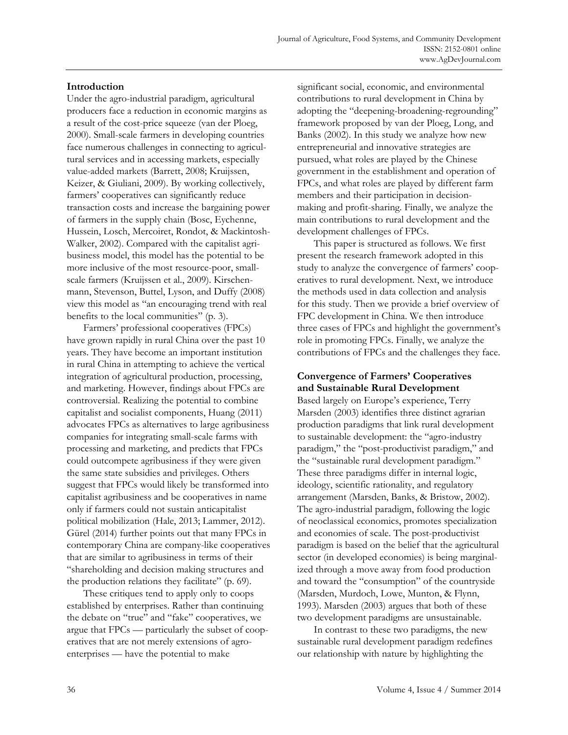### **Introduction**

Under the agro-industrial paradigm, agricultural producers face a reduction in economic margins as a result of the cost-price squeeze (van der Ploeg, 2000). Small-scale farmers in developing countries face numerous challenges in connecting to agricultural services and in accessing markets, especially value-added markets (Barrett, 2008; Kruijssen, Keizer, & Giuliani, 2009). By working collectively, farmers' cooperatives can significantly reduce transaction costs and increase the bargaining power of farmers in the supply chain (Bosc, Eychenne, Hussein, Losch, Mercoiret, Rondot, & Mackintosh-Walker, 2002). Compared with the capitalist agribusiness model, this model has the potential to be more inclusive of the most resource-poor, smallscale farmers (Kruijssen et al., 2009). Kirschenmann, Stevenson, Buttel, Lyson, and Duffy (2008) view this model as "an encouraging trend with real benefits to the local communities" (p. 3).

 Farmers' professional cooperatives (FPCs) have grown rapidly in rural China over the past 10 years. They have become an important institution in rural China in attempting to achieve the vertical integration of agricultural production, processing, and marketing. However, findings about FPCs are controversial. Realizing the potential to combine capitalist and socialist components, Huang (2011) advocates FPCs as alternatives to large agribusiness companies for integrating small-scale farms with processing and marketing, and predicts that FPCs could outcompete agribusiness if they were given the same state subsidies and privileges. Others suggest that FPCs would likely be transformed into capitalist agribusiness and be cooperatives in name only if farmers could not sustain anticapitalist political mobilization (Hale, 2013; Lammer, 2012). Gürel (2014) further points out that many FPCs in contemporary China are company-like cooperatives that are similar to agribusiness in terms of their "shareholding and decision making structures and the production relations they facilitate" (p. 69).

 These critiques tend to apply only to coops established by enterprises. Rather than continuing the debate on "true" and "fake" cooperatives, we argue that FPCs — particularly the subset of cooperatives that are not merely extensions of agroenterprises — have the potential to make

significant social, economic, and environmental contributions to rural development in China by adopting the "deepening-broadening-regrounding" framework proposed by van der Ploeg, Long, and Banks (2002). In this study we analyze how new entrepreneurial and innovative strategies are pursued, what roles are played by the Chinese government in the establishment and operation of FPCs, and what roles are played by different farm members and their participation in decisionmaking and profit-sharing. Finally, we analyze the main contributions to rural development and the development challenges of FPCs.

 This paper is structured as follows. We first present the research framework adopted in this study to analyze the convergence of farmers' cooperatives to rural development. Next, we introduce the methods used in data collection and analysis for this study. Then we provide a brief overview of FPC development in China. We then introduce three cases of FPCs and highlight the government's role in promoting FPCs. Finally, we analyze the contributions of FPCs and the challenges they face.

# **Convergence of Farmers' Cooperatives and Sustainable Rural Development**

Based largely on Europe's experience, Terry Marsden (2003) identifies three distinct agrarian production paradigms that link rural development to sustainable development: the "agro-industry paradigm," the "post-productivist paradigm," and the "sustainable rural development paradigm." These three paradigms differ in internal logic, ideology, scientific rationality, and regulatory arrangement (Marsden, Banks, & Bristow, 2002). The agro-industrial paradigm, following the logic of neoclassical economics, promotes specialization and economies of scale. The post-productivist paradigm is based on the belief that the agricultural sector (in developed economies) is being marginalized through a move away from food production and toward the "consumption" of the countryside (Marsden, Murdoch, Lowe, Munton, & Flynn, 1993). Marsden (2003) argues that both of these two development paradigms are unsustainable.

 In contrast to these two paradigms, the new sustainable rural development paradigm redefines our relationship with nature by highlighting the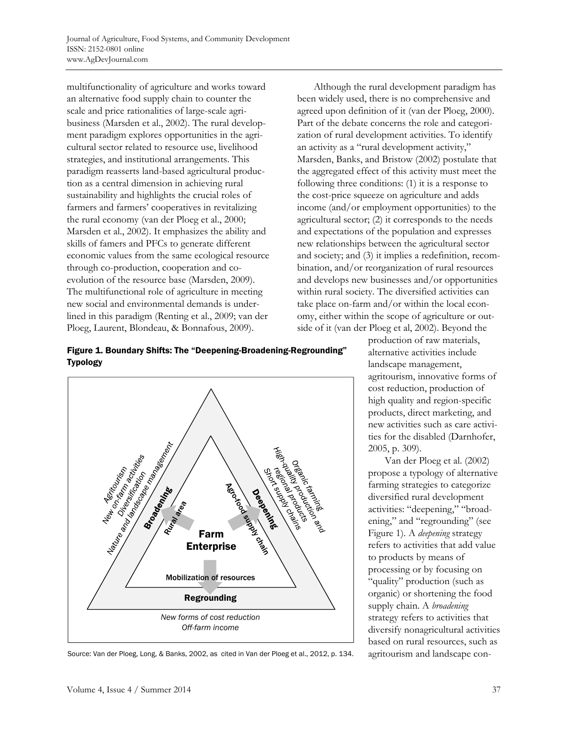multifunctionality of agriculture and works toward an alternative food supply chain to counter the scale and price rationalities of large-scale agribusiness (Marsden et al., 2002). The rural development paradigm explores opportunities in the agricultural sector related to resource use, livelihood strategies, and institutional arrangements. This paradigm reasserts land-based agricultural production as a central dimension in achieving rural sustainability and highlights the crucial roles of farmers and farmers' cooperatives in revitalizing the rural economy (van der Ploeg et al., 2000; Marsden et al., 2002). It emphasizes the ability and skills of famers and PFCs to generate different economic values from the same ecological resource through co-production, cooperation and coevolution of the resource base (Marsden, 2009). The multifunctional role of agriculture in meeting new social and environmental demands is underlined in this paradigm (Renting et al., 2009; van der Ploeg, Laurent, Blondeau, & Bonnafous, 2009).

 Although the rural development paradigm has been widely used, there is no comprehensive and agreed upon definition of it (van der Ploeg, 2000). Part of the debate concerns the role and categorization of rural development activities. To identify an activity as a "rural development activity," Marsden, Banks, and Bristow (2002) postulate that the aggregated effect of this activity must meet the following three conditions: (1) it is a response to the cost-price squeeze on agriculture and adds income (and/or employment opportunities) to the agricultural sector; (2) it corresponds to the needs and expectations of the population and expresses new relationships between the agricultural sector and society; and (3) it implies a redefinition, recombination, and/or reorganization of rural resources and develops new businesses and/or opportunities within rural society. The diversified activities can take place on-farm and/or within the local economy, either within the scope of agriculture or outside of it (van der Ploeg et al, 2002). Beyond the

Figure 1. Boundary Shifts: The "Deepening-Broadening-Regrounding" Typology



Source: Van der Ploeg, Long, & Banks, 2002, as cited in Van der Ploeg et al., 2012, p. 134.

production of raw materials, alternative activities include landscape management, agritourism, innovative forms of cost reduction, production of high quality and region-specific products, direct marketing, and new activities such as care activities for the disabled (Darnhofer, 2005, p. 309).

 Van der Ploeg et al. (2002) propose a typology of alternative farming strategies to categorize diversified rural development activities: "deepening," "broadening," and "regrounding" (see Figure 1). A *deepening* strategy refers to activities that add value to products by means of processing or by focusing on "quality" production (such as organic) or shortening the food supply chain. A *broadening* strategy refers to activities that diversify nonagricultural activities based on rural resources, such as agritourism and landscape con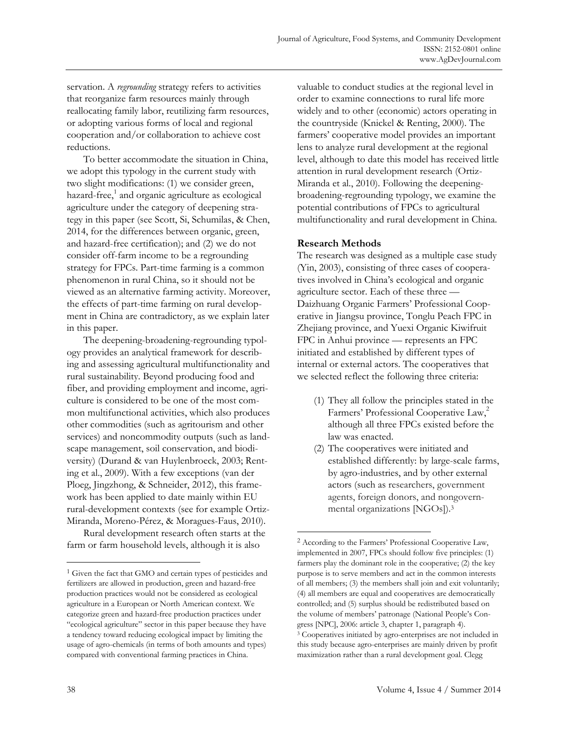servation. A *regrounding* strategy refers to activities that reorganize farm resources mainly through reallocating family labor, reutilizing farm resources, or adopting various forms of local and regional cooperation and/or collaboration to achieve cost reductions.

 To better accommodate the situation in China, we adopt this typology in the current study with two slight modifications: (1) we consider green, hazard-free,<sup>1</sup> and organic agriculture as ecological agriculture under the category of deepening strategy in this paper (see Scott, Si, Schumilas, & Chen, 2014, for the differences between organic, green, and hazard-free certification); and (2) we do not consider off-farm income to be a regrounding strategy for FPCs. Part-time farming is a common phenomenon in rural China, so it should not be viewed as an alternative farming activity. Moreover, the effects of part-time farming on rural development in China are contradictory, as we explain later in this paper.

 The deepening-broadening-regrounding typology provides an analytical framework for describing and assessing agricultural multifunctionality and rural sustainability. Beyond producing food and fiber, and providing employment and income, agriculture is considered to be one of the most common multifunctional activities, which also produces other commodities (such as agritourism and other services) and noncommodity outputs (such as landscape management, soil conservation, and biodiversity) (Durand & van Huylenbroeck, 2003; Renting et al., 2009). With a few exceptions (van der Ploeg, Jingzhong, & Schneider, 2012), this framework has been applied to date mainly within EU rural-development contexts (see for example Ortiz-Miranda, Moreno-Pérez, & Moragues-Faus, 2010).

 Rural development research often starts at the farm or farm household levels, although it is also

valuable to conduct studies at the regional level in order to examine connections to rural life more widely and to other (economic) actors operating in the countryside (Knickel & Renting, 2000). The farmers' cooperative model provides an important lens to analyze rural development at the regional level, although to date this model has received little attention in rural development research (Ortiz-Miranda et al., 2010). Following the deepeningbroadening-regrounding typology, we examine the potential contributions of FPCs to agricultural multifunctionality and rural development in China.

### **Research Methods**

 $\overline{a}$ 

The research was designed as a multiple case study (Yin, 2003), consisting of three cases of cooperatives involved in China's ecological and organic agriculture sector. Each of these three — Daizhuang Organic Farmers' Professional Cooperative in Jiangsu province, Tonglu Peach FPC in Zhejiang province, and Yuexi Organic Kiwifruit FPC in Anhui province — represents an FPC initiated and established by different types of internal or external actors. The cooperatives that we selected reflect the following three criteria:

- (1) They all follow the principles stated in the Farmers' Professional Cooperative Law,<sup>2</sup> although all three FPCs existed before the law was enacted.
- (2) The cooperatives were initiated and established differently: by large-scale farms, by agro-industries, and by other external actors (such as researchers, government agents, foreign donors, and nongovernmental organizations [NGOs]).3

<sup>1</sup> Given the fact that GMO and certain types of pesticides and fertilizers are allowed in production, green and hazard-free production practices would not be considered as ecological agriculture in a European or North American context. We categorize green and hazard-free production practices under "ecological agriculture" sector in this paper because they have a tendency toward reducing ecological impact by limiting the usage of agro-chemicals (in terms of both amounts and types) compared with conventional farming practices in China.

<sup>2</sup> According to the Farmers' Professional Cooperative Law, implemented in 2007, FPCs should follow five principles: (1) farmers play the dominant role in the cooperative; (2) the key purpose is to serve members and act in the common interests of all members; (3) the members shall join and exit voluntarily; (4) all members are equal and cooperatives are democratically controlled; and (5) surplus should be redistributed based on the volume of members' patronage (National People's Congress [NPC], 2006: article 3, chapter 1, paragraph 4). 3 Cooperatives initiated by agro-enterprises are not included in this study because agro-enterprises are mainly driven by profit maximization rather than a rural development goal. Clegg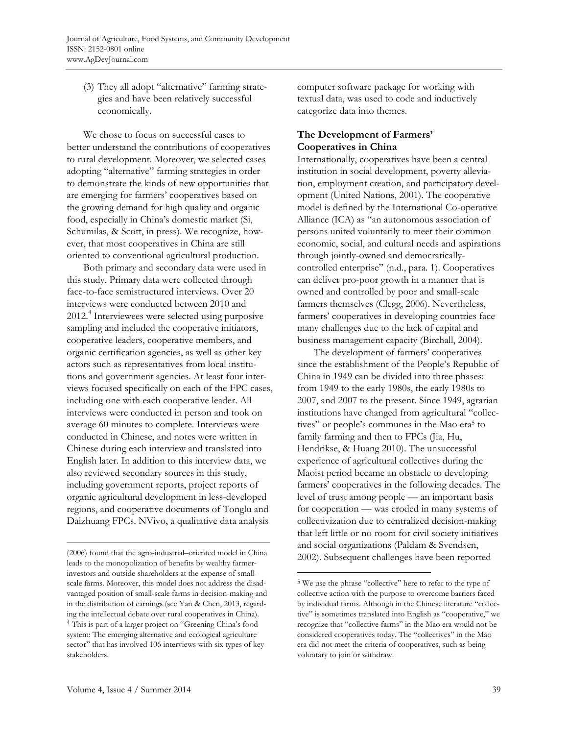(3) They all adopt "alternative" farming strategies and have been relatively successful economically.

 We chose to focus on successful cases to better understand the contributions of cooperatives to rural development. Moreover, we selected cases adopting "alternative" farming strategies in order to demonstrate the kinds of new opportunities that are emerging for farmers' cooperatives based on the growing demand for high quality and organic food, especially in China's domestic market (Si, Schumilas, & Scott, in press). We recognize, however, that most cooperatives in China are still oriented to conventional agricultural production.

 Both primary and secondary data were used in this study. Primary data were collected through face-to-face semistructured interviews. Over 20 interviews were conducted between 2010 and 2012.4 Interviewees were selected using purposive sampling and included the cooperative initiators, cooperative leaders, cooperative members, and organic certification agencies, as well as other key actors such as representatives from local institutions and government agencies. At least four interviews focused specifically on each of the FPC cases, including one with each cooperative leader. All interviews were conducted in person and took on average 60 minutes to complete. Interviews were conducted in Chinese, and notes were written in Chinese during each interview and translated into English later. In addition to this interview data, we also reviewed secondary sources in this study, including government reports, project reports of organic agricultural development in less-developed regions, and cooperative documents of Tonglu and Daizhuang FPCs. NVivo, a qualitative data analysis

computer software package for working with textual data, was used to code and inductively categorize data into themes.

# **The Development of Farmers' Cooperatives in China**

Internationally, cooperatives have been a central institution in social development, poverty alleviation, employment creation, and participatory development (United Nations, 2001). The cooperative model is defined by the International Co-operative Alliance (ICA) as "an autonomous association of persons united voluntarily to meet their common economic, social, and cultural needs and aspirations through jointly-owned and democraticallycontrolled enterprise" (n.d., para. 1). Cooperatives can deliver pro-poor growth in a manner that is owned and controlled by poor and small-scale farmers themselves (Clegg, 2006). Nevertheless, farmers' cooperatives in developing countries face many challenges due to the lack of capital and business management capacity (Birchall, 2004).

 The development of farmers' cooperatives since the establishment of the People's Republic of China in 1949 can be divided into three phases: from 1949 to the early 1980s, the early 1980s to 2007, and 2007 to the present. Since 1949, agrarian institutions have changed from agricultural "collectives" or people's communes in the Mao era<sup>5</sup> to family farming and then to FPCs (Jia, Hu, Hendrikse, & Huang 2010). The unsuccessful experience of agricultural collectives during the Maoist period became an obstacle to developing farmers' cooperatives in the following decades. The level of trust among people — an important basis for cooperation — was eroded in many systems of collectivization due to centralized decision-making that left little or no room for civil society initiatives and social organizations (Paldam & Svendsen, 2002). Subsequent challenges have been reported

 $\overline{a}$ 

<sup>(2006)</sup> found that the agro-industrial–oriented model in China leads to the monopolization of benefits by wealthy farmerinvestors and outside shareholders at the expense of smallscale farms. Moreover, this model does not address the disadvantaged position of small-scale farms in decision-making and in the distribution of earnings (see Yan & Chen, 2013, regarding the intellectual debate over rural cooperatives in China). 4 This is part of a larger project on "Greening China's food system: The emerging alternative and ecological agriculture sector" that has involved 106 interviews with six types of key stakeholders.

<sup>5</sup> We use the phrase "collective" here to refer to the type of collective action with the purpose to overcome barriers faced by individual farms. Although in the Chinese literature "collective" is sometimes translated into English as "cooperative," we recognize that "collective farms" in the Mao era would not be considered cooperatives today. The "collectives" in the Mao era did not meet the criteria of cooperatives, such as being voluntary to join or withdraw.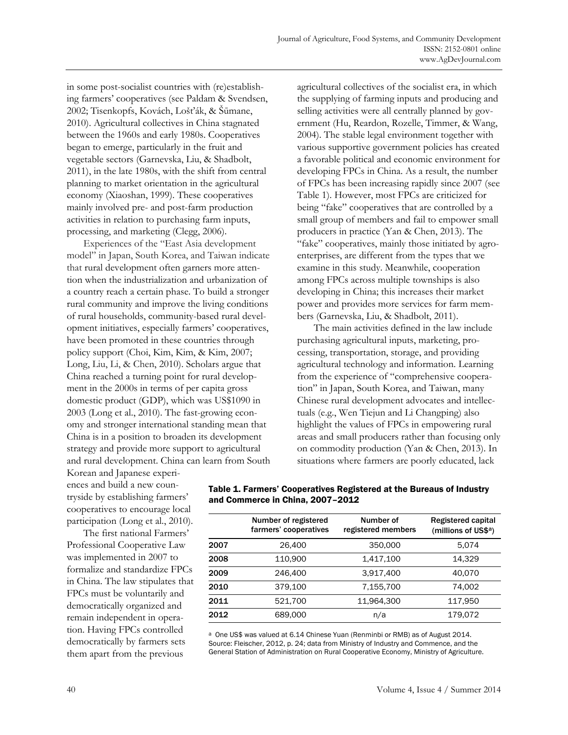in some post-socialist countries with (re)establishing farmers' cooperatives (see Paldam & Svendsen, 2002; Tisenkopfs, Kovách, Lošťák, & Šūmane, 2010). Agricultural collectives in China stagnated between the 1960s and early 1980s. Cooperatives began to emerge, particularly in the fruit and vegetable sectors (Garnevska, Liu, & Shadbolt, 2011), in the late 1980s, with the shift from central planning to market orientation in the agricultural economy (Xiaoshan, 1999). These cooperatives mainly involved pre- and post-farm production activities in relation to purchasing farm inputs, processing, and marketing (Clegg, 2006).

 Experiences of the "East Asia development model" in Japan, South Korea, and Taiwan indicate that rural development often garners more attention when the industrialization and urbanization of a country reach a certain phase. To build a stronger rural community and improve the living conditions of rural households, community-based rural development initiatives, especially farmers' cooperatives, have been promoted in these countries through policy support (Choi, Kim, Kim, & Kim, 2007; Long, Liu, Li, & Chen, 2010). Scholars argue that China reached a turning point for rural development in the 2000s in terms of per capita gross domestic product (GDP), which was US\$1090 in 2003 (Long et al., 2010). The fast-growing economy and stronger international standing mean that China is in a position to broaden its development strategy and provide more support to agricultural and rural development. China can learn from South agricultural collectives of the socialist era, in which the supplying of farming inputs and producing and selling activities were all centrally planned by government (Hu, Reardon, Rozelle, Timmer, & Wang, 2004). The stable legal environment together with various supportive government policies has created a favorable political and economic environment for developing FPCs in China. As a result, the number of FPCs has been increasing rapidly since 2007 (see Table 1). However, most FPCs are criticized for being "fake" cooperatives that are controlled by a small group of members and fail to empower small producers in practice (Yan & Chen, 2013). The "fake" cooperatives, mainly those initiated by agroenterprises, are different from the types that we examine in this study. Meanwhile, cooperation among FPCs across multiple townships is also developing in China; this increases their market power and provides more services for farm members (Garnevska, Liu, & Shadbolt, 2011).

 The main activities defined in the law include purchasing agricultural inputs, marketing, processing, transportation, storage, and providing agricultural technology and information. Learning from the experience of "comprehensive cooperation" in Japan, South Korea, and Taiwan, many Chinese rural development advocates and intellectuals (e.g., Wen Tiejun and Li Changping) also highlight the values of FPCs in empowering rural areas and small producers rather than focusing only on commodity production (Yan & Chen, 2013). In situations where farmers are poorly educated, lack

Korean and Japanese experiences and build a new countryside by establishing farmers' cooperatives to encourage local participation (Long et al., 2010).

 The first national Farmers' Professional Cooperative Law was implemented in 2007 to formalize and standardize FPCs in China. The law stipulates that FPCs must be voluntarily and democratically organized and remain independent in operation. Having FPCs controlled democratically by farmers sets them apart from the previous

|      | Number of registered<br>farmers' cooperatives | Number of<br>registered members | Registered capital<br>(millions of US\$a) |
|------|-----------------------------------------------|---------------------------------|-------------------------------------------|
| 2007 | 26,400                                        | 350,000                         | 5,074                                     |
| 2008 | 110.900                                       | 1,417,100                       | 14.329                                    |
| 2009 | 246,400                                       | 3,917,400                       | 40.070                                    |
| 2010 | 379,100                                       | 7,155,700                       | 74,002                                    |
| 2011 | 521.700                                       | 11.964.300                      | 117.950                                   |
| 2012 | 689,000                                       | n/a                             | 179,072                                   |

Table 1. Farmers' Cooperatives Registered at the Bureaus of Industry and Commerce in China, 2007–2012

a One US\$ was valued at 6.14 Chinese Yuan (Renminbi or RMB) as of August 2014. Source: Fleischer, 2012, p. 24; data from Ministry of Industry and Commence, and the General Station of Administration on Rural Cooperative Economy, Ministry of Agriculture.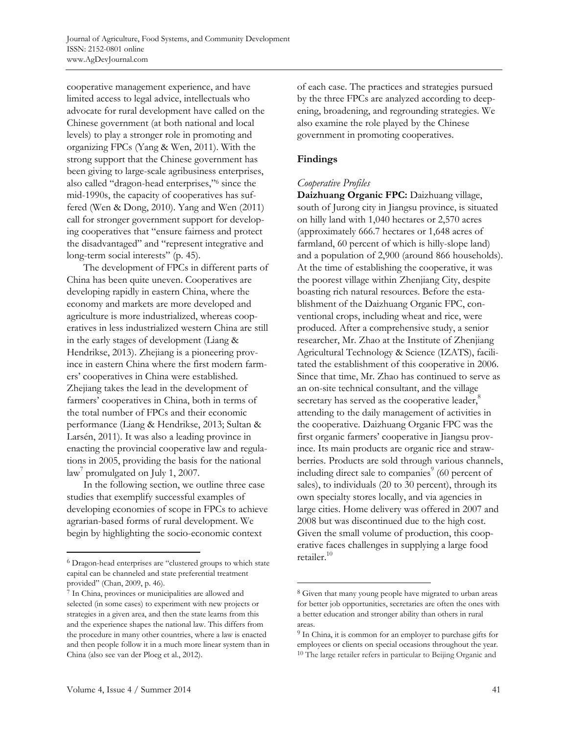cooperative management experience, and have limited access to legal advice, intellectuals who advocate for rural development have called on the Chinese government (at both national and local levels) to play a stronger role in promoting and organizing FPCs (Yang & Wen, 2011). With the strong support that the Chinese government has been giving to large-scale agribusiness enterprises, also called "dragon-head enterprises,"6 since the mid-1990s, the capacity of cooperatives has suffered (Wen & Dong, 2010). Yang and Wen (2011) call for stronger government support for developing cooperatives that "ensure fairness and protect the disadvantaged" and "represent integrative and long-term social interests" (p. 45).

 The development of FPCs in different parts of China has been quite uneven. Cooperatives are developing rapidly in eastern China, where the economy and markets are more developed and agriculture is more industrialized, whereas cooperatives in less industrialized western China are still in the early stages of development (Liang & Hendrikse, 2013). Zhejiang is a pioneering province in eastern China where the first modern farmers' cooperatives in China were established. Zhejiang takes the lead in the development of farmers' cooperatives in China, both in terms of the total number of FPCs and their economic performance (Liang & Hendrikse, 2013; Sultan & Larsén, 2011). It was also a leading province in enacting the provincial cooperative law and regulations in 2005, providing the basis for the national law<sup>7</sup> promulgated on July 1, 2007.

 In the following section, we outline three case studies that exemplify successful examples of developing economies of scope in FPCs to achieve agrarian-based forms of rural development. We begin by highlighting the socio-economic context

of each case. The practices and strategies pursued by the three FPCs are analyzed according to deepening, broadening, and regrounding strategies. We also examine the role played by the Chinese government in promoting cooperatives.

# **Findings**

 $\overline{a}$ 

# *Cooperative Profiles*

**Daizhuang Organic FPC:** Daizhuang village, south of Jurong city in Jiangsu province, is situated on hilly land with 1,040 hectares or 2,570 acres (approximately 666.7 hectares or 1,648 acres of farmland, 60 percent of which is hilly-slope land) and a population of 2,900 (around 866 households). At the time of establishing the cooperative, it was the poorest village within Zhenjiang City, despite boasting rich natural resources. Before the establishment of the Daizhuang Organic FPC, conventional crops, including wheat and rice, were produced. After a comprehensive study, a senior researcher, Mr. Zhao at the Institute of Zhenjiang Agricultural Technology & Science (IZATS), facilitated the establishment of this cooperative in 2006. Since that time, Mr. Zhao has continued to serve as an on-site technical consultant, and the village secretary has served as the cooperative leader,<sup>8</sup> attending to the daily management of activities in the cooperative. Daizhuang Organic FPC was the first organic farmers' cooperative in Jiangsu province. Its main products are organic rice and strawberries. Products are sold through various channels, including direct sale to companies<sup>9</sup> (60 percent of sales), to individuals (20 to 30 percent), through its own specialty stores locally, and via agencies in large cities. Home delivery was offered in 2007 and 2008 but was discontinued due to the high cost. Given the small volume of production, this cooperative faces challenges in supplying a large food retailer.<sup>10</sup>

<sup>6</sup> Dragon-head enterprises are "clustered groups to which state capital can be channeled and state preferential treatment provided" (Chan, 2009, p. 46).

<sup>7</sup> In China, provinces or municipalities are allowed and selected (in some cases) to experiment with new projects or strategies in a given area, and then the state learns from this and the experience shapes the national law. This differs from the procedure in many other countries, where a law is enacted and then people follow it in a much more linear system than in China (also see van der Ploeg et al., 2012).

<sup>8</sup> Given that many young people have migrated to urban areas for better job opportunities, secretaries are often the ones with a better education and stronger ability than others in rural areas.

<sup>&</sup>lt;sup>9</sup> In China, it is common for an employer to purchase gifts for employees or clients on special occasions throughout the year. 10 The large retailer refers in particular to Beijing Organic and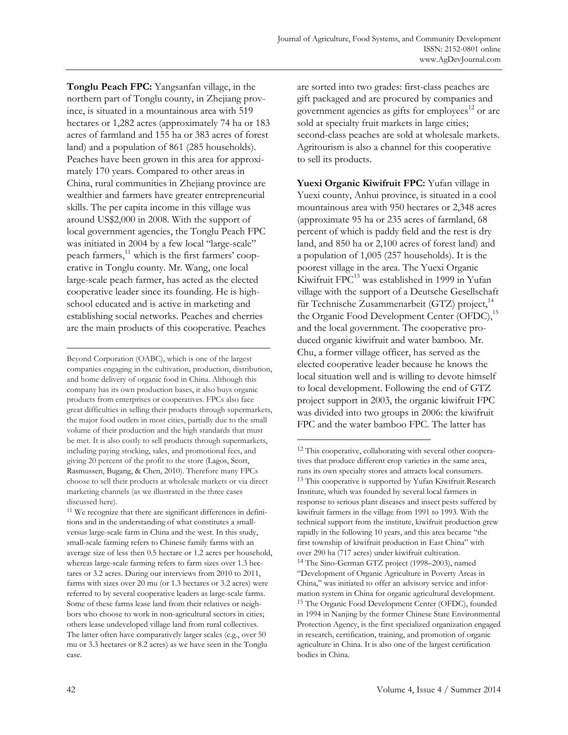**Tonglu Peach FPC:** Yangsanfan village, in the northern part of Tonglu county, in Zhejiang province, is situated in a mountainous area with 519 hectares or 1,282 acres (approximately 74 ha or 183 acres of farmland and 155 ha or 383 acres of forest land) and a population of 861 (285 households). Peaches have been grown in this area for approximately 170 years. Compared to other areas in China, rural communities in Zhejiang province are wealthier and farmers have greater entrepreneurial skills. The per capita income in this village was around US\$2,000 in 2008. With the support of local government agencies, the Tonglu Peach FPC was initiated in 2004 by a few local "large-scale" peach farmers, $^{11}$  which is the first farmers' cooperative in Tonglu county. Mr. Wang, one local large-scale peach farmer, has acted as the elected cooperative leader since its founding. He is highschool educated and is active in marketing and establishing social networks. Peaches and cherries are the main products of this cooperative. Peaches

Beyond Corporation (OABC), which is one of the largest companies engaging in the cultivation, production, distribution, and home delivery of organic food in China. Although this company has its own production bases, it also buys organic products from enterprises or cooperatives. FPCs also face great difficulties in selling their products through supermarkets, the major food outlets in most cities, partially due to the small volume of their production and the high standards that must be met. It is also costly to sell products through supermarkets, including paying stocking, sales, and promotional fees, and giving 20 percent of the profit to the store (Lagos, Scott, Rasmussen, Bugang, & Chen, 2010). Therefore many FPCs choose to sell their products at wholesale markets or via direct marketing channels (as we illustrated in the three cases discussed here).

11 We recognize that there are significant differences in definitions and in the understanding of what constitutes a smallversus large-scale farm in China and the west. In this study, small-scale farming refers to Chinese family farms with an average size of less then 0.5 hectare or 1.2 acres per household, whereas large-scale farming refers to farm sizes over 1.3 hectares or 3.2 acres. During our interviews from 2010 to 2011, farms with sizes over 20 mu (or 1.3 hectares or 3.2 acres) were referred to by several cooperative leaders as large-scale farms. Some of these farms lease land from their relatives or neighbors who choose to work in non-agricultural sectors in cities; others lease undeveloped village land from rural collectives. The latter often have comparatively larger scales (e.g., over 50 mu or 3.3 hectares or 8.2 acres) as we have seen in the Tonglu case.

are sorted into two grades: first-class peaches are gift packaged and are procured by companies and government agencies as gifts for employees $^{12}$  or are sold at specialty fruit markets in large cities; second-class peaches are sold at wholesale markets. Agritourism is also a channel for this cooperative to sell its products.

Yuexi Organic Kiwifruit FPC: Yufan village in Yuexi county, Anhui province, is situated in a cool mountainous area with 950 hectares or 2,348 acres (approximate 95 ha or 235 acres of farmland, 68 percent of which is paddy field and the rest is dry land, and 850 ha or 2,100 acres of forest land) and a population of 1,005 (257 households). It is the poorest village in the area. The Yuexi Organic Kiwifruit FPC<sup>13</sup> was established in 1999 in Yufan village with the support of a Deutsche Gesellschaft für Technische Zusammenarbeit (GTZ) project,<sup>1</sup> the Organic Food Development Center (OFDC),<sup>15</sup> and the local government. The cooperative produced organic kiwifruit and water bamboo. Mr. Chu, a former village officer, has served as the elected cooperative leader because he knows the local situation well and is willing to devote himself to local development. Following the end of GTZ project support in 2003, the organic kiwifruit FPC was divided into two groups in 2006: the kiwifruit FPC and the water bamboo FPC. The latter has

 $\overline{a}$ 12 This cooperative, collaborating with several other cooperatives that produce different crop varieties in the same area, runs its own specialty stores and attracts local consumers. 13 This cooperative is supported by Yufan Kiwifruit Research Institute, which was founded by several local farmers in response to serious plant diseases and insect pests suffered by kiwifruit farmers in the village from 1991 to 1993. With the technical support from the institute, kiwifruit production grew rapidly in the following 10 years, and this area became "the first township of kiwifruit production in East China" with over 290 ha (717 acres) under kiwifruit cultivation. 14 The Sino-German GTZ project (1998–2003), named "Development of Organic Agriculture in Poverty Areas in China," was initiated to offer an advisory service and information system in China for organic agricultural development. 15 The Organic Food Development Center (OFDC), founded in 1994 in Nanjing by the former Chinese State Environmental Protection Agency, is the first specialized organization engaged in research, certification, training, and promotion of organic agriculture in China. It is also one of the largest certification bodies in China.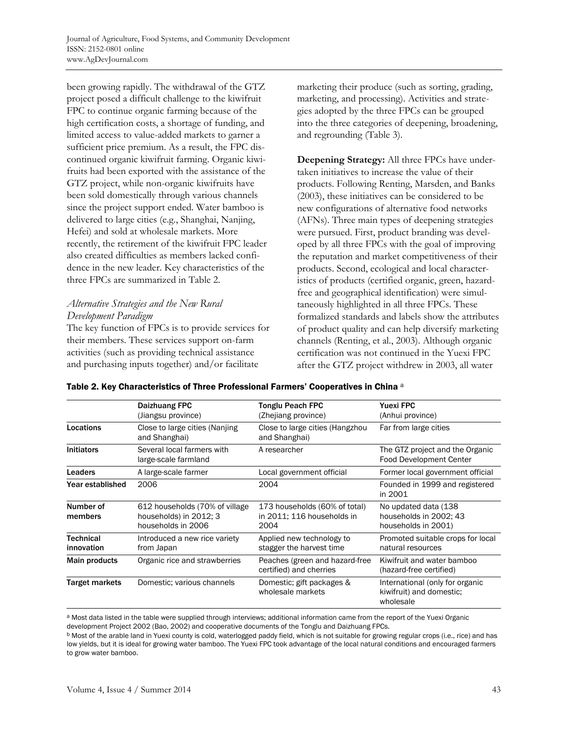been growing rapidly. The withdrawal of the GTZ project posed a difficult challenge to the kiwifruit FPC to continue organic farming because of the high certification costs, a shortage of funding, and limited access to value-added markets to garner a sufficient price premium. As a result, the FPC discontinued organic kiwifruit farming. Organic kiwifruits had been exported with the assistance of the GTZ project, while non-organic kiwifruits have been sold domestically through various channels since the project support ended. Water bamboo is delivered to large cities (e.g., Shanghai, Nanjing, Hefei) and sold at wholesale markets. More recently, the retirement of the kiwifruit FPC leader also created difficulties as members lacked confidence in the new leader. Key characteristics of the three FPCs are summarized in Table 2.

# *Alternative Strategies and the New Rural Development Paradigm*

The key function of FPCs is to provide services for their members. These services support on-farm activities (such as providing technical assistance and purchasing inputs together) and/or facilitate

marketing their produce (such as sorting, grading, marketing, and processing). Activities and strategies adopted by the three FPCs can be grouped into the three categories of deepening, broadening, and regrounding (Table 3).

**Deepening Strategy:** All three FPCs have undertaken initiatives to increase the value of their products. Following Renting, Marsden, and Banks (2003), these initiatives can be considered to be new configurations of alternative food networks (AFNs). Three main types of deepening strategies were pursued. First, product branding was developed by all three FPCs with the goal of improving the reputation and market competitiveness of their products. Second, ecological and local characteristics of products (certified organic, green, hazardfree and geographical identification) were simultaneously highlighted in all three FPCs. These formalized standards and labels show the attributes of product quality and can help diversify marketing channels (Renting, et al., 2003). Although organic certification was not continued in the Yuexi FPC after the GTZ project withdrew in 2003, all water

|                         | Daizhuang FPC<br>(Jiangsu province)                                            | Tonglu Peach FPC<br>(Zhejiang province)                             | <b>Yuexi FPC</b><br>(Anhui province)                                     |
|-------------------------|--------------------------------------------------------------------------------|---------------------------------------------------------------------|--------------------------------------------------------------------------|
| Locations               | Close to large cities (Nanjing)<br>and Shanghai)                               | Close to large cities (Hangzhou<br>and Shanghai)                    | Far from large cities                                                    |
| <b>Initiators</b>       | Several local farmers with<br>large-scale farmland                             | A researcher                                                        | The GTZ project and the Organic<br><b>Food Development Center</b>        |
| <b>Leaders</b>          | A large-scale farmer                                                           | Local government official                                           | Former local government official                                         |
| Year established        | 2006                                                                           | 2004                                                                | Founded in 1999 and registered<br>in 2001                                |
| Number of<br>members    | 612 households (70% of village<br>households) in 2012; 3<br>households in 2006 | 173 households (60% of total)<br>in 2011; 116 households in<br>2004 | No updated data (138)<br>households in 2002; 43<br>households in 2001)   |
| Technical<br>innovation | Introduced a new rice variety<br>from Japan                                    | Applied new technology to<br>stagger the harvest time               | Promoted suitable crops for local<br>natural resources                   |
| <b>Main products</b>    | Organic rice and strawberries                                                  | Peaches (green and hazard-free<br>certified) and cherries           | Kiwifruit and water bamboo<br>(hazard-free certified)                    |
| Target markets          | Domestic: various channels                                                     | Domestic; gift packages &<br>wholesale markets                      | International (only for organic<br>kiwifruit) and domestic:<br>wholesale |

a Most data listed in the table were supplied through interviews; additional information came from the report of the Yuexi Organic development Project 2002 (Bao, 2002) and cooperative documents of the Tonglu and Daizhuang FPCs.

b Most of the arable land in Yuexi county is cold, waterlogged paddy field, which is not suitable for growing regular crops (i.e., rice) and has low yields, but it is ideal for growing water bamboo. The Yuexi FPC took advantage of the local natural conditions and encouraged farmers to grow water bamboo.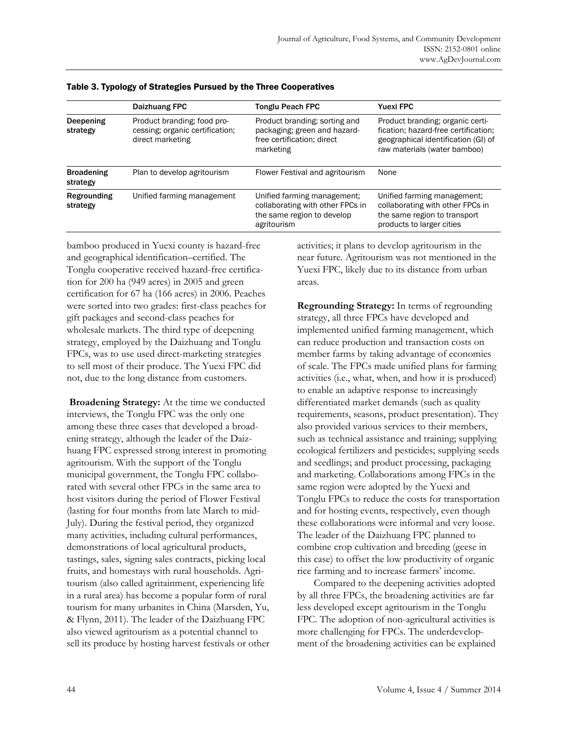|                               | Daizhuang FPC                                                                      | <b>Tonglu Peach FPC</b>                                                                                      | <b>Yuexi FPC</b>                                                                                                                                |
|-------------------------------|------------------------------------------------------------------------------------|--------------------------------------------------------------------------------------------------------------|-------------------------------------------------------------------------------------------------------------------------------------------------|
| Deepening<br>strategy         | Product branding; food pro-<br>cessing; organic certification;<br>direct marketing | Product branding; sorting and<br>packaging; green and hazard-<br>free certification; direct<br>marketing     | Product branding; organic certi-<br>fication; hazard-free certification;<br>geographical identification (GI) of<br>raw materials (water bamboo) |
| <b>Broadening</b><br>strategy | Plan to develop agritourism                                                        | Flower Festival and agritourism                                                                              | None                                                                                                                                            |
| Regrounding<br>strategy       | Unified farming management                                                         | Unified farming management;<br>collaborating with other FPCs in<br>the same region to develop<br>agritourism | Unified farming management;<br>collaborating with other FPCs in<br>the same region to transport<br>products to larger cities                    |

#### Table 3. Typology of Strategies Pursued by the Three Cooperatives

bamboo produced in Yuexi county is hazard-free and geographical identification–certified. The Tonglu cooperative received hazard-free certification for 200 ha (949 acres) in 2005 and green certification for 67 ha (166 acres) in 2006. Peaches were sorted into two grades: first-class peaches for gift packages and second-class peaches for wholesale markets. The third type of deepening strategy, employed by the Daizhuang and Tonglu FPCs, was to use used direct-marketing strategies to sell most of their produce. The Yuexi FPC did not, due to the long distance from customers.

 **Broadening Strategy:** At the time we conducted interviews, the Tonglu FPC was the only one among these three cases that developed a broadening strategy, although the leader of the Daizhuang FPC expressed strong interest in promoting agritourism. With the support of the Tonglu municipal government, the Tonglu FPC collaborated with several other FPCs in the same area to host visitors during the period of Flower Festival (lasting for four months from late March to mid-July). During the festival period, they organized many activities, including cultural performances, demonstrations of local agricultural products, tastings, sales, signing sales contracts, picking local fruits, and homestays with rural households. Agritourism (also called agritainment, experiencing life in a rural area) has become a popular form of rural tourism for many urbanites in China (Marsden, Yu, & Flynn, 2011). The leader of the Daizhuang FPC also viewed agritourism as a potential channel to sell its produce by hosting harvest festivals or other activities; it plans to develop agritourism in the near future. Agritourism was not mentioned in the Yuexi FPC, likely due to its distance from urban areas.

**Regrounding Strategy:** In terms of regrounding strategy, all three FPCs have developed and implemented unified farming management, which can reduce production and transaction costs on member farms by taking advantage of economies of scale. The FPCs made unified plans for farming activities (i.e., what, when, and how it is produced) to enable an adaptive response to increasingly differentiated market demands (such as quality requirements, seasons, product presentation). They also provided various services to their members, such as technical assistance and training; supplying ecological fertilizers and pesticides; supplying seeds and seedlings; and product processing, packaging and marketing. Collaborations among FPCs in the same region were adopted by the Yuexi and Tonglu FPCs to reduce the costs for transportation and for hosting events, respectively, even though these collaborations were informal and very loose. The leader of the Daizhuang FPC planned to combine crop cultivation and breeding (geese in this case) to offset the low productivity of organic rice farming and to increase farmers' income.

 Compared to the deepening activities adopted by all three FPCs, the broadening activities are far less developed except agritourism in the Tonglu FPC. The adoption of non-agricultural activities is more challenging for FPCs. The underdevelopment of the broadening activities can be explained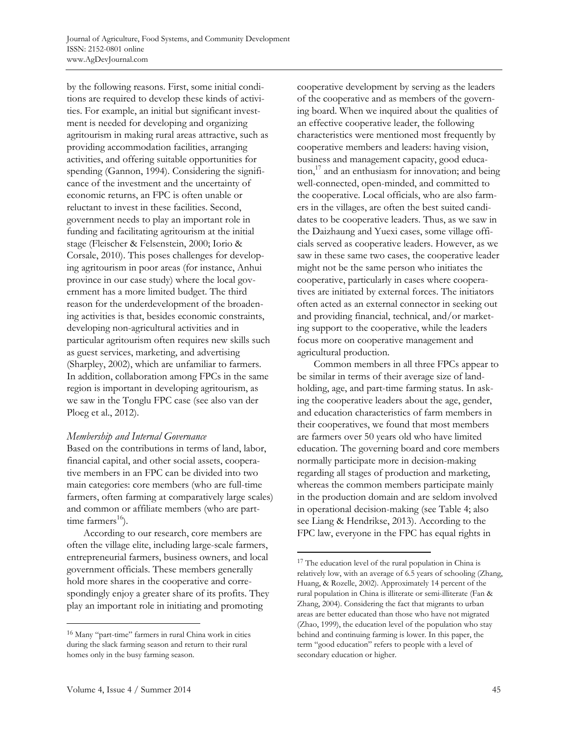by the following reasons. First, some initial conditions are required to develop these kinds of activities. For example, an initial but significant investment is needed for developing and organizing agritourism in making rural areas attractive, such as providing accommodation facilities, arranging activities, and offering suitable opportunities for spending (Gannon, 1994). Considering the significance of the investment and the uncertainty of economic returns, an FPC is often unable or reluctant to invest in these facilities. Second, government needs to play an important role in funding and facilitating agritourism at the initial stage (Fleischer & Felsenstein, 2000; Iorio & Corsale, 2010). This poses challenges for developing agritourism in poor areas (for instance, Anhui province in our case study) where the local government has a more limited budget. The third reason for the underdevelopment of the broadening activities is that, besides economic constraints, developing non-agricultural activities and in particular agritourism often requires new skills such as guest services, marketing, and advertising (Sharpley, 2002), which are unfamiliar to farmers. In addition, collaboration among FPCs in the same region is important in developing agritourism, as we saw in the Tonglu FPC case (see also van der Ploeg et al., 2012).

#### *Membership and Internal Governance*

Based on the contributions in terms of land, labor, financial capital, and other social assets, cooperative members in an FPC can be divided into two main categories: core members (who are full-time farmers, often farming at comparatively large scales) and common or affiliate members (who are parttime farmers<sup>16</sup>).

 According to our research, core members are often the village elite, including large-scale farmers, entrepreneurial farmers, business owners, and local government officials. These members generally hold more shares in the cooperative and correspondingly enjoy a greater share of its profits. They play an important role in initiating and promoting

cooperative development by serving as the leaders of the cooperative and as members of the governing board. When we inquired about the qualities of an effective cooperative leader, the following characteristics were mentioned most frequently by cooperative members and leaders: having vision, business and management capacity, good educa- $\frac{17}{2}$  and an enthusiasm for innovation; and being well-connected, open-minded, and committed to the cooperative. Local officials, who are also farmers in the villages, are often the best suited candidates to be cooperative leaders. Thus, as we saw in the Daizhaung and Yuexi cases, some village officials served as cooperative leaders. However, as we saw in these same two cases, the cooperative leader might not be the same person who initiates the cooperative, particularly in cases where cooperatives are initiated by external forces. The initiators often acted as an external connector in seeking out and providing financial, technical, and/or marketing support to the cooperative, while the leaders focus more on cooperative management and agricultural production.

 Common members in all three FPCs appear to be similar in terms of their average size of landholding, age, and part-time farming status. In asking the cooperative leaders about the age, gender, and education characteristics of farm members in their cooperatives, we found that most members are farmers over 50 years old who have limited education. The governing board and core members normally participate more in decision-making regarding all stages of production and marketing, whereas the common members participate mainly in the production domain and are seldom involved in operational decision-making (see Table 4; also see Liang & Hendrikse, 2013). According to the FPC law, everyone in the FPC has equal rights in

 $\overline{a}$ 

<sup>16</sup> Many "part-time" farmers in rural China work in cities during the slack farming season and return to their rural homes only in the busy farming season.

<sup>17</sup> The education level of the rural population in China is relatively low, with an average of 6.5 years of schooling (Zhang, Huang, & Rozelle, 2002). Approximately 14 percent of the rural population in China is illiterate or semi-illiterate (Fan & Zhang, 2004). Considering the fact that migrants to urban areas are better educated than those who have not migrated (Zhao, 1999), the education level of the population who stay behind and continuing farming is lower. In this paper, the term "good education" refers to people with a level of secondary education or higher.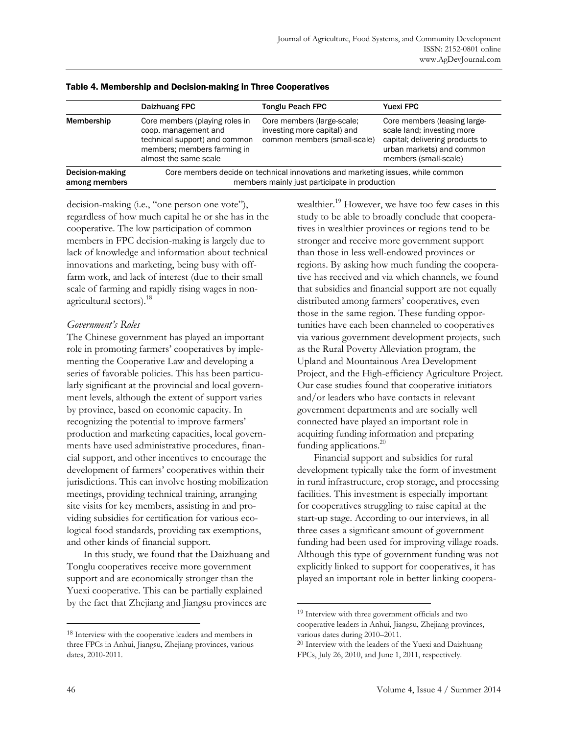|                                  | Daizhuang FPC                                                                                                                                   | <b>Tonglu Peach FPC</b>                                                                   | <b>Yuexi FPC</b>                                                                                                                                    |
|----------------------------------|-------------------------------------------------------------------------------------------------------------------------------------------------|-------------------------------------------------------------------------------------------|-----------------------------------------------------------------------------------------------------------------------------------------------------|
| Membership                       | Core members (playing roles in<br>coop. management and<br>technical support) and common<br>members; members farming in<br>almost the same scale | Core members (large-scale;<br>investing more capital) and<br>common members (small-scale) | Core members (leasing large-<br>scale land; investing more<br>capital; delivering products to<br>urban markets) and common<br>members (small-scale) |
| Decision-making<br>among members | Core members decide on technical innovations and marketing issues, while common<br>members mainly just participate in production                |                                                                                           |                                                                                                                                                     |

| Table 4. Membership and Decision-making in Three Cooperatives |  |
|---------------------------------------------------------------|--|
|                                                               |  |

decision-making (i.e., "one person one vote"), regardless of how much capital he or she has in the cooperative. The low participation of common members in FPC decision-making is largely due to lack of knowledge and information about technical innovations and marketing, being busy with offfarm work, and lack of interest (due to their small scale of farming and rapidly rising wages in nonagricultural sectors).<sup>18</sup>

#### *Government's Roles*

The Chinese government has played an important role in promoting farmers' cooperatives by implementing the Cooperative Law and developing a series of favorable policies. This has been particularly significant at the provincial and local government levels, although the extent of support varies by province, based on economic capacity. In recognizing the potential to improve farmers' production and marketing capacities, local governments have used administrative procedures, financial support, and other incentives to encourage the development of farmers' cooperatives within their jurisdictions. This can involve hosting mobilization meetings, providing technical training, arranging site visits for key members, assisting in and providing subsidies for certification for various ecological food standards, providing tax exemptions, and other kinds of financial support.

 In this study, we found that the Daizhuang and Tonglu cooperatives receive more government support and are economically stronger than the Yuexi cooperative. This can be partially explained by the fact that Zhejiang and Jiangsu provinces are

wealthier.<sup>19</sup> However, we have too few cases in this study to be able to broadly conclude that cooperatives in wealthier provinces or regions tend to be stronger and receive more government support than those in less well-endowed provinces or regions. By asking how much funding the cooperative has received and via which channels, we found that subsidies and financial support are not equally distributed among farmers' cooperatives, even those in the same region. These funding opportunities have each been channeled to cooperatives via various government development projects, such as the Rural Poverty Alleviation program, the Upland and Mountainous Area Development Project, and the High-efficiency Agriculture Project. Our case studies found that cooperative initiators and/or leaders who have contacts in relevant government departments and are socially well connected have played an important role in acquiring funding information and preparing funding applications.<sup>20</sup>

 Financial support and subsidies for rural development typically take the form of investment in rural infrastructure, crop storage, and processing facilities. This investment is especially important for cooperatives struggling to raise capital at the start-up stage. According to our interviews, in all three cases a significant amount of government funding had been used for improving village roads. Although this type of government funding was not explicitly linked to support for cooperatives, it has played an important role in better linking coopera-

 $\overline{a}$ 

<sup>18</sup> Interview with the cooperative leaders and members in three FPCs in Anhui, Jiangsu, Zhejiang provinces, various dates, 2010-2011.

<sup>19</sup> Interview with three government officials and two cooperative leaders in Anhui, Jiangsu, Zhejiang provinces, various dates during 2010–2011.

<sup>20</sup> Interview with the leaders of the Yuexi and Daizhuang FPCs, July 26, 2010, and June 1, 2011, respectively.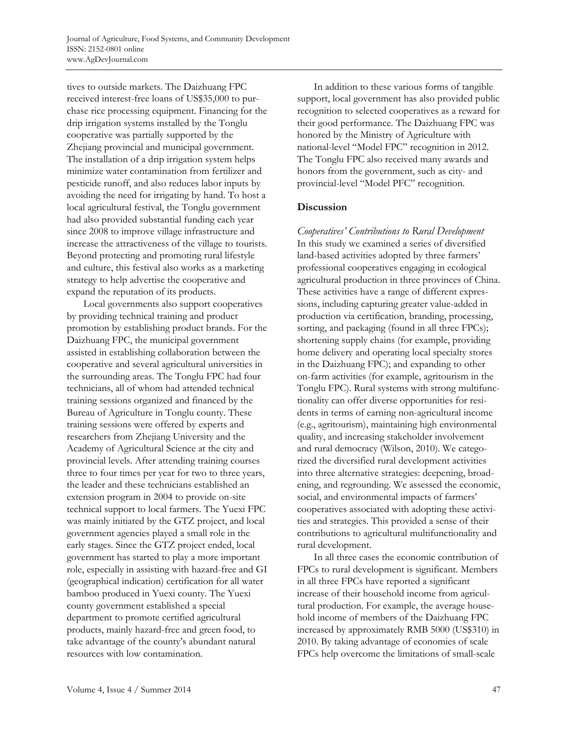tives to outside markets. The Daizhuang FPC received interest-free loans of US\$35,000 to purchase rice processing equipment. Financing for the drip irrigation systems installed by the Tonglu cooperative was partially supported by the Zhejiang provincial and municipal government. The installation of a drip irrigation system helps minimize water contamination from fertilizer and pesticide runoff, and also reduces labor inputs by avoiding the need for irrigating by hand. To host a local agricultural festival, the Tonglu government had also provided substantial funding each year since 2008 to improve village infrastructure and increase the attractiveness of the village to tourists. Beyond protecting and promoting rural lifestyle and culture, this festival also works as a marketing strategy to help advertise the cooperative and expand the reputation of its products.

 Local governments also support cooperatives by providing technical training and product promotion by establishing product brands. For the Daizhuang FPC, the municipal government assisted in establishing collaboration between the cooperative and several agricultural universities in the surrounding areas. The Tonglu FPC had four technicians, all of whom had attended technical training sessions organized and financed by the Bureau of Agriculture in Tonglu county. These training sessions were offered by experts and researchers from Zhejiang University and the Academy of Agricultural Science at the city and provincial levels. After attending training courses three to four times per year for two to three years, the leader and these technicians established an extension program in 2004 to provide on-site technical support to local farmers. The Yuexi FPC was mainly initiated by the GTZ project, and local government agencies played a small role in the early stages. Since the GTZ project ended, local government has started to play a more important role, especially in assisting with hazard-free and GI (geographical indication) certification for all water bamboo produced in Yuexi county. The Yuexi county government established a special department to promote certified agricultural products, mainly hazard-free and green food, to take advantage of the county's abundant natural resources with low contamination.

 In addition to these various forms of tangible support, local government has also provided public recognition to selected cooperatives as a reward for their good performance. The Daizhuang FPC was honored by the Ministry of Agriculture with national-level "Model FPC" recognition in 2012. The Tonglu FPC also received many awards and honors from the government, such as city- and provincial-level "Model PFC" recognition.

### **Discussion**

*Cooperatives' Contributions to Rural Development*  In this study we examined a series of diversified land-based activities adopted by three farmers' professional cooperatives engaging in ecological agricultural production in three provinces of China. These activities have a range of different expressions, including capturing greater value-added in production via certification, branding, processing, sorting, and packaging (found in all three FPCs); shortening supply chains (for example, providing home delivery and operating local specialty stores in the Daizhuang FPC); and expanding to other on-farm activities (for example, agritourism in the Tonglu FPC). Rural systems with strong multifunctionality can offer diverse opportunities for residents in terms of earning non-agricultural income (e.g., agritourism), maintaining high environmental quality, and increasing stakeholder involvement and rural democracy (Wilson, 2010). We categorized the diversified rural development activities into three alternative strategies: deepening, broadening, and regrounding. We assessed the economic, social, and environmental impacts of farmers' cooperatives associated with adopting these activities and strategies. This provided a sense of their contributions to agricultural multifunctionality and rural development.

 In all three cases the economic contribution of FPCs to rural development is significant. Members in all three FPCs have reported a significant increase of their household income from agricultural production. For example, the average household income of members of the Daizhuang FPC increased by approximately RMB 5000 (US\$310) in 2010. By taking advantage of economies of scale FPCs help overcome the limitations of small-scale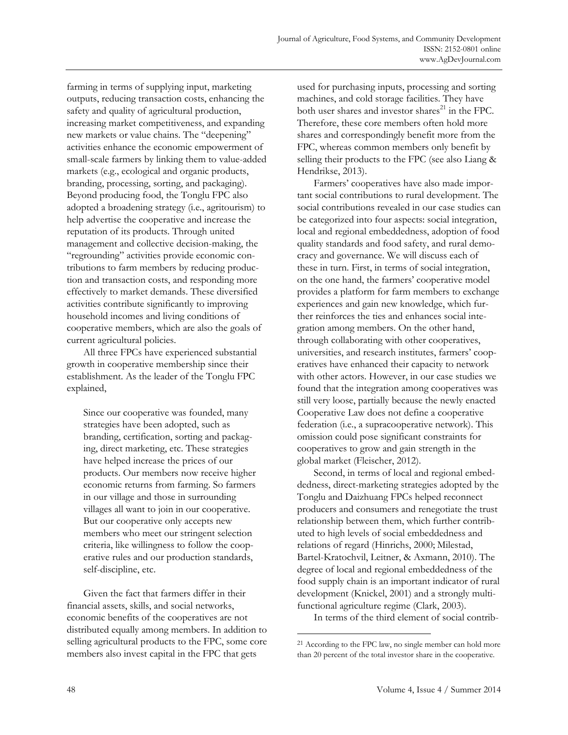farming in terms of supplying input, marketing outputs, reducing transaction costs, enhancing the safety and quality of agricultural production, increasing market competitiveness, and expanding new markets or value chains. The "deepening" activities enhance the economic empowerment of small-scale farmers by linking them to value-added markets (e.g., ecological and organic products, branding, processing, sorting, and packaging). Beyond producing food, the Tonglu FPC also adopted a broadening strategy (i.e., agritourism) to help advertise the cooperative and increase the reputation of its products. Through united management and collective decision-making, the "regrounding" activities provide economic contributions to farm members by reducing production and transaction costs, and responding more effectively to market demands. These diversified activities contribute significantly to improving household incomes and living conditions of cooperative members, which are also the goals of current agricultural policies.

 All three FPCs have experienced substantial growth in cooperative membership since their establishment. As the leader of the Tonglu FPC explained,

Since our cooperative was founded, many strategies have been adopted, such as branding, certification, sorting and packaging, direct marketing, etc. These strategies have helped increase the prices of our products. Our members now receive higher economic returns from farming. So farmers in our village and those in surrounding villages all want to join in our cooperative. But our cooperative only accepts new members who meet our stringent selection criteria, like willingness to follow the cooperative rules and our production standards, self-discipline, etc.

 Given the fact that farmers differ in their financial assets, skills, and social networks, economic benefits of the cooperatives are not distributed equally among members. In addition to selling agricultural products to the FPC, some core members also invest capital in the FPC that gets

used for purchasing inputs, processing and sorting machines, and cold storage facilities. They have both user shares and investor shares $^{21}$  in the FPC. Therefore, these core members often hold more shares and correspondingly benefit more from the FPC, whereas common members only benefit by selling their products to the FPC (see also Liang & Hendrikse, 2013).

 Farmers' cooperatives have also made important social contributions to rural development. The social contributions revealed in our case studies can be categorized into four aspects: social integration, local and regional embeddedness, adoption of food quality standards and food safety, and rural democracy and governance. We will discuss each of these in turn. First, in terms of social integration, on the one hand, the farmers' cooperative model provides a platform for farm members to exchange experiences and gain new knowledge, which further reinforces the ties and enhances social integration among members. On the other hand, through collaborating with other cooperatives, universities, and research institutes, farmers' cooperatives have enhanced their capacity to network with other actors. However, in our case studies we found that the integration among cooperatives was still very loose, partially because the newly enacted Cooperative Law does not define a cooperative federation (i.e., a supracooperative network). This omission could pose significant constraints for cooperatives to grow and gain strength in the global market (Fleischer, 2012).

 Second, in terms of local and regional embeddedness, direct-marketing strategies adopted by the Tonglu and Daizhuang FPCs helped reconnect producers and consumers and renegotiate the trust relationship between them, which further contributed to high levels of social embeddedness and relations of regard (Hinrichs, 2000; Milestad, Bartel-Kratochvil, Leitner, & Axmann, 2010). The degree of local and regional embeddedness of the food supply chain is an important indicator of rural development (Knickel, 2001) and a strongly multifunctional agriculture regime (Clark, 2003).

In terms of the third element of social contrib-

<sup>21</sup> According to the FPC law, no single member can hold more than 20 percent of the total investor share in the cooperative.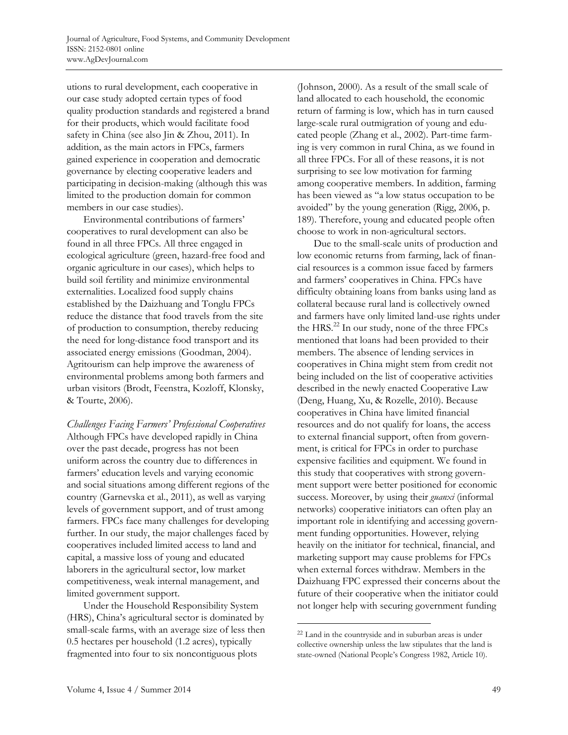utions to rural development, each cooperative in our case study adopted certain types of food quality production standards and registered a brand for their products, which would facilitate food safety in China (see also Jin & Zhou, 2011). In addition, as the main actors in FPCs, farmers gained experience in cooperation and democratic governance by electing cooperative leaders and participating in decision-making (although this was limited to the production domain for common members in our case studies).

 Environmental contributions of farmers' cooperatives to rural development can also be found in all three FPCs. All three engaged in ecological agriculture (green, hazard-free food and organic agriculture in our cases), which helps to build soil fertility and minimize environmental externalities. Localized food supply chains established by the Daizhuang and Tonglu FPCs reduce the distance that food travels from the site of production to consumption, thereby reducing the need for long-distance food transport and its associated energy emissions (Goodman, 2004). Agritourism can help improve the awareness of environmental problems among both farmers and urban visitors (Brodt, Feenstra, Kozloff, Klonsky, & Tourte, 2006).

*Challenges Facing Farmers' Professional Cooperatives*  Although FPCs have developed rapidly in China over the past decade, progress has not been uniform across the country due to differences in farmers' education levels and varying economic and social situations among different regions of the country (Garnevska et al., 2011), as well as varying levels of government support, and of trust among farmers. FPCs face many challenges for developing further. In our study, the major challenges faced by cooperatives included limited access to land and capital, a massive loss of young and educated laborers in the agricultural sector, low market competitiveness, weak internal management, and limited government support.

 Under the Household Responsibility System (HRS), China's agricultural sector is dominated by small-scale farms, with an average size of less then 0.5 hectares per household (1.2 acres), typically fragmented into four to six noncontiguous plots

(Johnson, 2000). As a result of the small scale of land allocated to each household, the economic return of farming is low, which has in turn caused large-scale rural outmigration of young and educated people (Zhang et al., 2002). Part-time farming is very common in rural China, as we found in all three FPCs. For all of these reasons, it is not surprising to see low motivation for farming among cooperative members. In addition, farming has been viewed as "a low status occupation to be avoided" by the young generation (Rigg, 2006, p. 189). Therefore, young and educated people often choose to work in non-agricultural sectors.

 Due to the small-scale units of production and low economic returns from farming, lack of financial resources is a common issue faced by farmers and farmers' cooperatives in China. FPCs have difficulty obtaining loans from banks using land as collateral because rural land is collectively owned and farmers have only limited land-use rights under the HRS.<sup>22</sup> In our study, none of the three FPCs mentioned that loans had been provided to their members. The absence of lending services in cooperatives in China might stem from credit not being included on the list of cooperative activities described in the newly enacted Cooperative Law (Deng, Huang, Xu, & Rozelle, 2010). Because cooperatives in China have limited financial resources and do not qualify for loans, the access to external financial support, often from government, is critical for FPCs in order to purchase expensive facilities and equipment. We found in this study that cooperatives with strong government support were better positioned for economic success. Moreover, by using their *guanxi* (informal networks) cooperative initiators can often play an important role in identifying and accessing government funding opportunities. However, relying heavily on the initiator for technical, financial, and marketing support may cause problems for FPCs when external forces withdraw. Members in the Daizhuang FPC expressed their concerns about the future of their cooperative when the initiator could not longer help with securing government funding

 $\overline{a}$ <sup>22</sup> Land in the countryside and in suburban areas is under collective ownership unless the law stipulates that the land is state-owned (National People's Congress 1982, Article 10).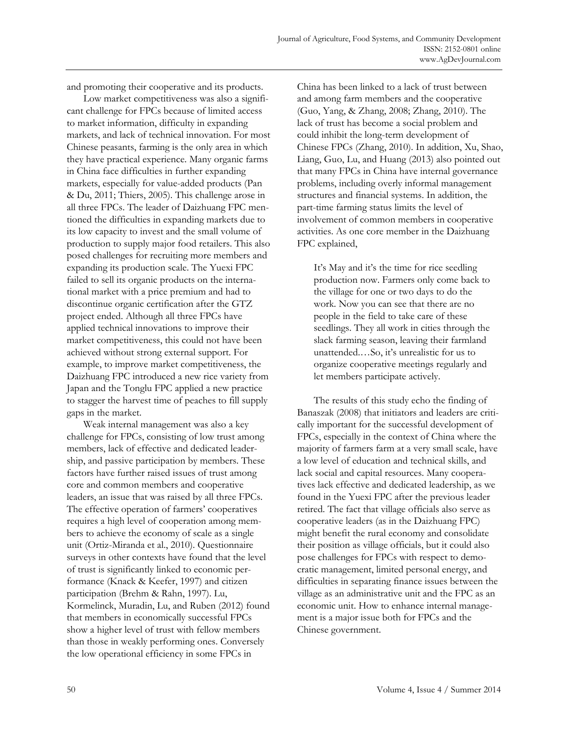and promoting their cooperative and its products.

 Low market competitiveness was also a significant challenge for FPCs because of limited access to market information, difficulty in expanding markets, and lack of technical innovation. For most Chinese peasants, farming is the only area in which they have practical experience. Many organic farms in China face difficulties in further expanding markets, especially for value-added products (Pan & Du, 2011; Thiers, 2005). This challenge arose in all three FPCs. The leader of Daizhuang FPC mentioned the difficulties in expanding markets due to its low capacity to invest and the small volume of production to supply major food retailers. This also posed challenges for recruiting more members and expanding its production scale. The Yuexi FPC failed to sell its organic products on the international market with a price premium and had to discontinue organic certification after the GTZ project ended. Although all three FPCs have applied technical innovations to improve their market competitiveness, this could not have been achieved without strong external support. For example, to improve market competitiveness, the Daizhuang FPC introduced a new rice variety from Japan and the Tonglu FPC applied a new practice to stagger the harvest time of peaches to fill supply gaps in the market.

 Weak internal management was also a key challenge for FPCs, consisting of low trust among members, lack of effective and dedicated leadership, and passive participation by members. These factors have further raised issues of trust among core and common members and cooperative leaders, an issue that was raised by all three FPCs. The effective operation of farmers' cooperatives requires a high level of cooperation among members to achieve the economy of scale as a single unit (Ortiz-Miranda et al., 2010). Questionnaire surveys in other contexts have found that the level of trust is significantly linked to economic performance (Knack & Keefer, 1997) and citizen participation (Brehm & Rahn, 1997). Lu, Kormelinck, Muradin, Lu, and Ruben (2012) found that members in economically successful FPCs show a higher level of trust with fellow members than those in weakly performing ones. Conversely the low operational efficiency in some FPCs in

China has been linked to a lack of trust between and among farm members and the cooperative (Guo, Yang, & Zhang, 2008; Zhang, 2010). The lack of trust has become a social problem and could inhibit the long-term development of Chinese FPCs (Zhang, 2010). In addition, Xu, Shao, Liang, Guo, Lu, and Huang (2013) also pointed out that many FPCs in China have internal governance problems, including overly informal management structures and financial systems. In addition, the part-time farming status limits the level of involvement of common members in cooperative activities. As one core member in the Daizhuang FPC explained,

It's May and it's the time for rice seedling production now. Farmers only come back to the village for one or two days to do the work. Now you can see that there are no people in the field to take care of these seedlings. They all work in cities through the slack farming season, leaving their farmland unattended.…So, it's unrealistic for us to organize cooperative meetings regularly and let members participate actively.

 The results of this study echo the finding of Banaszak (2008) that initiators and leaders are critically important for the successful development of FPCs, especially in the context of China where the majority of farmers farm at a very small scale, have a low level of education and technical skills, and lack social and capital resources. Many cooperatives lack effective and dedicated leadership, as we found in the Yuexi FPC after the previous leader retired. The fact that village officials also serve as cooperative leaders (as in the Daizhuang FPC) might benefit the rural economy and consolidate their position as village officials, but it could also pose challenges for FPCs with respect to democratic management, limited personal energy, and difficulties in separating finance issues between the village as an administrative unit and the FPC as an economic unit. How to enhance internal management is a major issue both for FPCs and the Chinese government.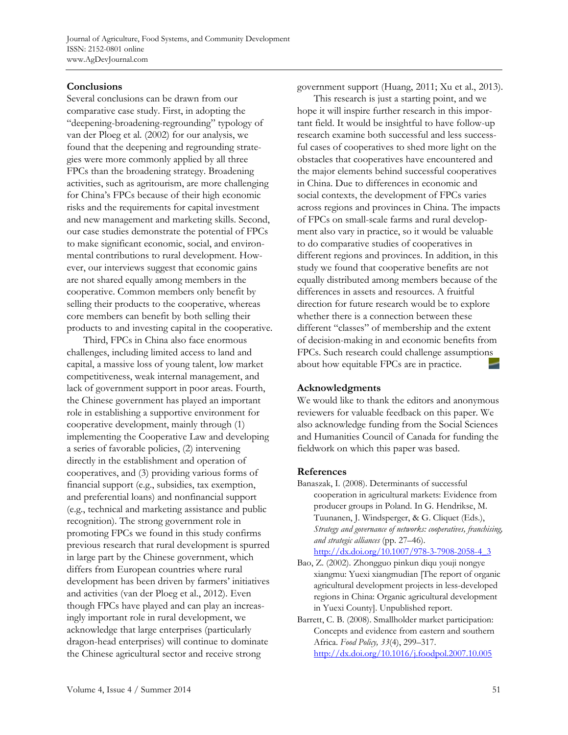# **Conclusions**

Several conclusions can be drawn from our comparative case study. First, in adopting the "deepening-broadening-regrounding" typology of van der Ploeg et al. (2002) for our analysis, we found that the deepening and regrounding strategies were more commonly applied by all three FPCs than the broadening strategy. Broadening activities, such as agritourism, are more challenging for China's FPCs because of their high economic risks and the requirements for capital investment and new management and marketing skills. Second, our case studies demonstrate the potential of FPCs to make significant economic, social, and environmental contributions to rural development. However, our interviews suggest that economic gains are not shared equally among members in the cooperative. Common members only benefit by selling their products to the cooperative, whereas core members can benefit by both selling their products to and investing capital in the cooperative.

 Third, FPCs in China also face enormous challenges, including limited access to land and capital, a massive loss of young talent, low market competitiveness, weak internal management, and lack of government support in poor areas. Fourth, the Chinese government has played an important role in establishing a supportive environment for cooperative development, mainly through (1) implementing the Cooperative Law and developing a series of favorable policies, (2) intervening directly in the establishment and operation of cooperatives, and (3) providing various forms of financial support (e.g., subsidies, tax exemption, and preferential loans) and nonfinancial support (e.g., technical and marketing assistance and public recognition). The strong government role in promoting FPCs we found in this study confirms previous research that rural development is spurred in large part by the Chinese government, which differs from European countries where rural development has been driven by farmers' initiatives and activities (van der Ploeg et al., 2012). Even though FPCs have played and can play an increasingly important role in rural development, we acknowledge that large enterprises (particularly dragon-head enterprises) will continue to dominate the Chinese agricultural sector and receive strong

government support (Huang, 2011; Xu et al., 2013).

 This research is just a starting point, and we hope it will inspire further research in this important field. It would be insightful to have follow-up research examine both successful and less successful cases of cooperatives to shed more light on the obstacles that cooperatives have encountered and the major elements behind successful cooperatives in China. Due to differences in economic and social contexts, the development of FPCs varies across regions and provinces in China. The impacts of FPCs on small-scale farms and rural development also vary in practice, so it would be valuable to do comparative studies of cooperatives in different regions and provinces. In addition, in this study we found that cooperative benefits are not equally distributed among members because of the differences in assets and resources. A fruitful direction for future research would be to explore whether there is a connection between these different "classes" of membership and the extent of decision-making in and economic benefits from FPCs. Such research could challenge assumptions about how equitable FPCs are in practice.

#### **Acknowledgments**

We would like to thank the editors and anonymous reviewers for valuable feedback on this paper. We also acknowledge funding from the Social Sciences and Humanities Council of Canada for funding the fieldwork on which this paper was based.

#### **References**

Banaszak, I. (2008). Determinants of successful cooperation in agricultural markets: Evidence from producer groups in Poland. In G. Hendrikse, M. Tuunanen, J. Windsperger, & G. Cliquet (Eds.), *Strategy and governance of networks: cooperatives, franchising, and strategic alliances* (pp. 27–46).

http://dx.doi.org/10.1007/978-3-7908-2058-4\_3

- Bao, Z. (2002). Zhongguo pinkun diqu youji nongye xiangmu: Yuexi xiangmudian [The report of organic agricultural development projects in less-developed regions in China: Organic agricultural development in Yuexi County]. Unpublished report.
- Barrett, C. B. (2008). Smallholder market participation: Concepts and evidence from eastern and southern Africa. *Food Policy, 33*(4), 299–317. http://dx.doi.org/10.1016/j.foodpol.2007.10.005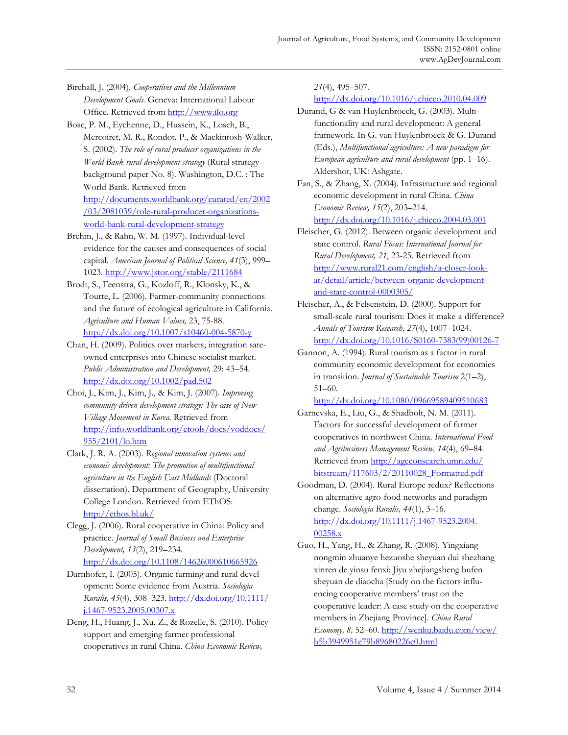Birchall, J. (2004). *Cooperatives and the Millennium Development Goals.* Geneva: International Labour Office. Retrieved from http://www.ilo.org

Bosc, P. M., Eychenne, D., Hussein, K., Losch, B., Mercoiret, M. R., Rondot, P., & Mackintosh-Walker, S. (2002). *The role of rural producer organizations in the World Bank rural development strategy* (Rural strategy background paper No. 8). Washington, D.C. : The World Bank. Retrieved from [http://documents.worldbank.org/curated/en/2002](http://documents.worldbank.org/curated/en/2002/03/2081039/role-rural-producer-organizations-world-bank-rural-development-strategy) /03/2081039/role-rural-producer-organizationsworld-bank-rural-development-strategy

Brehm, J., & Rahn, W. M. (1997). Individual-level evidence for the causes and consequences of social capital. *American Journal of Political Science, 41*(3), 999– 1023. http://www.jstor.org/stable/2111684

Brodt, S., Feenstra, G., Kozloff, R., Klonsky, K., & Tourte, L. (2006). Farmer-community connections and the future of ecological agriculture in California. *Agriculture and Human Values,* 23, 75-88. http://dx.doi.org/10.1007/s10460-004-5870-y

Chan, H. (2009). Politics over markets; integration sateowned enterprises into Chinese socialist market. *Public Administration and Development,* 29: 43–54. http://dx.doi.org/10.1002/pad.502

Choi, J., Kim, J., Kim, J., & Kim, J. (2007). *Improving community-driven development strategy: The case of New Village Movement in Korea*. Retrieved from [http://info.worldbank.org/etools/docs/voddocs/](http://info.worldbank.org/etools/docs/voddocs/955/2101/lo.htm) 955/2101/lo.htm

Clark, J. R. A. (2003). *Regional innovation systems and economic development: The promotion of multifunctional agriculture in the English East Midlands* (Doctoral dissertation). Department of Geography, University College London. Retrieved from EThOS: http://ethos.bl.uk/

Clegg, J. (2006). Rural cooperative in China: Policy and practice. *Journal of Small Business and Enterprise Development, 13*(2), 219–234. http://dx.doi.org/10.1108/14626000610665926

Darnhofer, I. (2005). Organic farming and rural development: Some evidence from Austria. *Sociologia Ruralis, 45*[\(4\), 308–323. http://dx.doi.org/10.1111/](http://dx.doi.org/10.1111/j.1467-9523.2005.00307.x)  j.1467-9523.2005.00307.x

Deng, H., Huang, J., Xu, Z., & Rozelle, S. (2010). Policy support and emerging farmer professional cooperatives in rural China. *China Economic Review,* 

*21*(4), 495–507.

http://dx.doi.org/10.1016/j.chieco.2010.04.009

Durand, G & van Huylenbroeck, G. (2003). Multifunctionality and rural development: A general framework. In G. van Huylenbroeck & G. Durand (Eds.), *Multifunctional agriculture: A new paradigm for European agriculture and rural development* (pp. 1–16). Aldershot, UK: Ashgate.

Fan, S., & Zhang, X. (2004). Infrastructure and regional economic development in rural China. *China Economic Review, 15*(2), 203–214. http://dx.doi.org/10.1016/j.chieco.2004.03.001

Fleischer, G. (2012). Between organic development and state control. *Rural Focus: International Journal for Rural Development, 21*, 23-25. Retrieved from http://www.rural21.com/english/a-closer-lookat/detail/article/between-organic-developmentand-state-control-0000305/

- Fleischer, A., & Felsenstein, D. (2000). Support for small-scale rural tourism: Does it make a difference? *Annals of Tourism Research, 27*(4), 1007–1024. [http://dx.doi.org/10.1016/S0160-7383\(99\)00126-7](http://dx.doi.org/10.1016/S0160-7383(99)00126-7)
- Gannon, A. (1994). Rural tourism as a factor in rural community economic development for economies in transition. *Journal of Sustainable Tourism* 2(1–2), 51–60.

http://dx.doi.org/10.1080/09669589409510683

Garnevska, E., Liu, G., & Shadbolt, N. M. (2011). Factors for successful development of farmer cooperatives in northwest China. *International Food and Agribusiness Management Review, 14*(4), 69–84. Retrieved from http://ageconsearch.umn.edu/ [bitstream/117603/2/20110028\\_Formatted.pdf](http://ageconsearch.umn.edu/bitstream/117603/2/20110028_Formatted.pdf)

- Goodman, D. (2004). Rural Europe redux? Reflections on alternative agro-food networks and paradigm change. *Sociologia Ruralis, 44*(1), 3–16. [http://dx.doi.org/10.1111/j.1467-9523.2004.](http://dx.doi.org/10.1111/j.1467-9523.2004.00258.x) 00258.x
- Guo, H., Yang, H., & Zhang, R. (2008). Yingxiang nongmin zhuanye hezuoshe sheyuan dui shezhang xinren de yinsu fenxi: Jiyu zhejiangsheng bufen sheyuan de diaocha [Study on the factors influencing cooperative members' trust on the cooperative leader: A case study on the cooperative members in Zhejiang Province]. *China Rural Economy, 8,* [52–60. http://wenku.baidu.com/view/](http://wenku.baidu.com/view/b5b3949951e79b89680226c0.html)  b5b3949951e79b89680226c0.html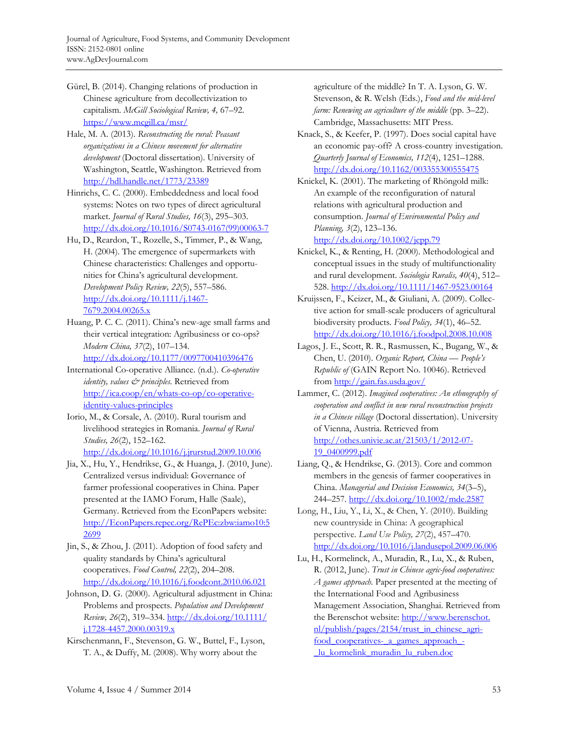- Gürel, B. (2014). Changing relations of production in Chinese agriculture from decollectivization to capitalism. *McGill Sociological Review, 4,* 67–92. https://www.mcgill.ca/msr/
- Hale, M. A. (2013). *Reconstructing the rural: Peasant organizations in a Chinese movement for alternative development* (Doctoral dissertation). University of Washington, Seattle, Washington. Retrieved from http://hdl.handle.net/1773/23389
- Hinrichs, C. C. (2000). Embeddedness and local food systems: Notes on two types of direct agricultural market. *Journal of Rural Studies, 16*(3), 295–303. [http://dx.doi.org/10.1016/S0743-0167\(99\)00063-7](http://dx.doi.org/10.1016/S0743-0167(99)00063-7)
- Hu, D., Reardon, T., Rozelle, S., Timmer, P., & Wang, H. (2004). The emergence of supermarkets with Chinese characteristics: Challenges and opportunities for China's agricultural development. *Development Policy Review, 22*(5), 557–586. http://dx.doi.org/10.1111/j.1467- 7679.2004.00265.x
- Huang, P. C. C. (2011). China's new-age small farms and their vertical integration: Agribusiness or co-ops? *Modern China, 37*(2), 107–134. http://dx.doi.org/10.1177/0097700410396476
- International Co-operative Alliance. (n.d.). *Co-operative identity, values & principles*. Retrieved from http://ica.coop/en/whats-co-op/co-operativeidentity-values-principles
- Iorio, M., & Corsale, A. (2010). Rural tourism and livelihood strategies in Romania. *Journal of Rural Studies, 26*(2), 152–162. http://dx.doi.org/10.1016/j.jrurstud.2009.10.006
- Jia, X., Hu, Y., Hendrikse, G., & Huanga, J. (2010, June). Centralized versus individual: Governance of farmer professional cooperatives in China. Paper presented at the IAMO Forum, Halle (Saale), Germany. Retrieved from the EconPapers website: [http://EconPapers.repec.org/RePEc:zbw:iamo10:5](http://EconPapers.repec.org/RePEc:zbw:iamo10:52699) 2699
- Jin, S., & Zhou, J. (2011). Adoption of food safety and quality standards by China's agricultural cooperatives. *Food Control, 22*(2), 204–208. http://dx.doi.org/10.1016/j.foodcont.2010.06.021
- Johnson, D. G. (2000). Agricultural adjustment in China: Problems and prospects. *Population and Development Review, 26*[\(2\), 319–334. http://dx.doi.org/10.1111/](http://dx.doi.org/10.1111/j.1728-4457.2000.00319.x) j.1728-4457.2000.00319.x
- Kirschenmann, F., Stevenson, G. W., Buttel, F., Lyson, T. A., & Duffy, M. (2008). Why worry about the

agriculture of the middle? In T. A. Lyson, G. W. Stevenson, & R. Welsh (Eds.), *Food and the mid-level farm: Renewing an agriculture of the middle* (pp. 3–22). Cambridge, Massachusetts: MIT Press.

- Knack, S., & Keefer, P. (1997). Does social capital have an economic pay-off? A cross-country investigation. *Quarterly Journal of Economics, 112*(4), 1251–1288. http://dx.doi.org/10.1162/003355300555475
- Knickel, K. (2001). The marketing of Rhöngold milk: An example of the reconfiguration of natural relations with agricultural production and consumption. *Journal of Environmental Policy and Planning, 3*(2), 123–136. http://dx.doi.org/10.1002/jepp.79
- Knickel, K., & Renting, H. (2000). Methodological and conceptual issues in the study of multifunctionality and rural development. *Sociologia Ruralis, 40*(4), 512– 528. http://dx.doi.org/10.1111/1467-9523.00164
- Kruijssen, F., Keizer, M., & Giuliani, A. (2009). Collective action for small-scale producers of agricultural biodiversity products. *Food Policy, 34*(1), 46–52. http://dx.doi.org/10.1016/j.foodpol.2008.10.008
- Lagos, J. E., Scott, R. R., Rasmussen, K., Bugang, W., & Chen, U. (2010). *Organic Report, China — People's Republic of* (GAIN Report No. 10046). Retrieved from http://gain.fas.usda.gov/
- Lammer, C. (2012). *Imagined cooperatives: An ethnography of cooperation and conflict in new rural reconstruction projects in a Chinese village* (Doctoral dissertation). University of Vienna, Austria. Retrieved from http://othes.univie.ac.at/21503/1/2012-07- 19\_0400999.pdf
- Liang, Q., & Hendrikse, G. (2013). Core and common members in the genesis of farmer cooperatives in China. *Managerial and Decision Economics, 34*(3–5), 244–257. http://dx.doi.org/10.1002/mde.2587
- Long, H., Liu, Y., Li, X., & Chen, Y. (2010). Building new countryside in China: A geographical perspective. *Land Use Policy, 27*(2), 457–470. http://dx.doi.org/10.1016/j.landusepol.2009.06.006
- Lu, H., Kormelinck, A., Muradin, R., Lu, X., & Ruben, R. (2012, June). *Trust in Chinese agric-food cooperatives: A games approach*. Paper presented at the meeting of the International Food and Agribusiness Management Association, Shanghai. Retrieved from [the Berenschot website: http://www.berenschot.](http://www.berenschot.nl/publish/pages/2154/trust_in_chinese_agri-food_cooperatives-_a_games_approach_-_lu_kormelink_muradin_lu_ruben.doc)  nl/publish/pages/2154/trust\_in\_chinese\_agrifood\_cooperatives-\_a\_games\_approach\_- \_lu\_kormelink\_muradin\_lu\_ruben.doc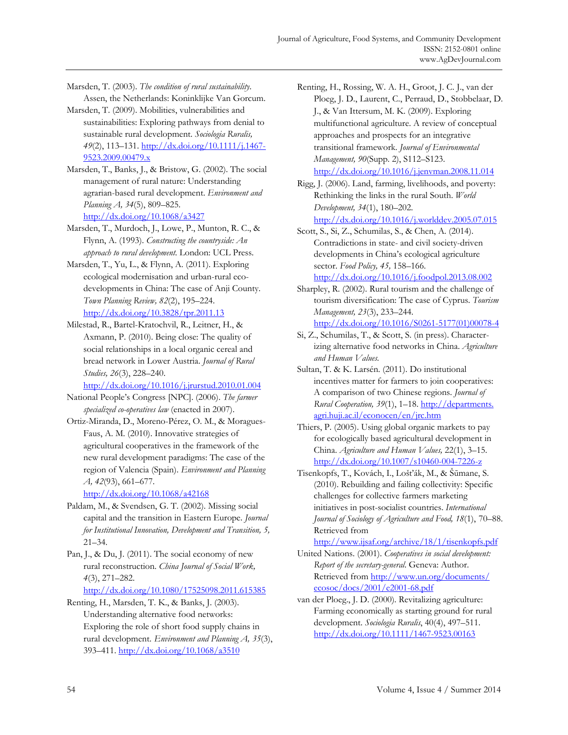Marsden, T. (2003). *The condition of rural sustainability*. Assen, the Netherlands: Koninklijke Van Gorcum.

- Marsden, T. (2009). Mobilities, vulnerabilities and sustainabilities: Exploring pathways from denial to sustainable rural development. *Sociologia Ruralis, 49*(2), 113–131. http://dx.doi.org/10.1111/j.1467- 9523.2009.00479.x
- Marsden, T., Banks, J., & Bristow, G. (2002). The social management of rural nature: Understanding agrarian-based rural development. *Environment and Planning A, 34*(5), 809–825. http://dx.doi.org/10.1068/a3427
- Marsden, T., Murdoch, J., Lowe, P., Munton, R. C., & Flynn, A. (1993). *Constructing the countryside: An approach to rural development*. London: UCL Press.
- Marsden, T., Yu, L., & Flynn, A. (2011). Exploring ecological modernisation and urban-rural ecodevelopments in China: The case of Anji County. *Town Planning Review, 82*(2), 195–224. http://dx.doi.org/10.3828/tpr.2011.13
- Milestad, R., Bartel-Kratochvil, R., Leitner, H., & Axmann, P. (2010). Being close: The quality of social relationships in a local organic cereal and bread network in Lower Austria. *Journal of Rural Studies, 26*(3), 228–240.

http://dx.doi.org/10.1016/j.jrurstud.2010.01.004

- National People's Congress [NPC]. (2006). *The farmer specialized co-operatives law* (enacted in 2007).
- Ortiz-Miranda, D., Moreno-Pérez, O. M., & Moragues-Faus, A. M. (2010). Innovative strategies of agricultural cooperatives in the framework of the new rural development paradigms: The case of the region of Valencia (Spain). *Environment and Planning A, 42*(93), 661–677.

http://dx.doi.org/10.1068/a42168

- Paldam, M., & Svendsen, G. T. (2002). Missing social capital and the transition in Eastern Europe. *Journal for Institutional Innovation, Development and Transition, 5,*  21–34.
- Pan, J., & Du, J. (2011). The social economy of new rural reconstruction. *China Journal of Social Work, 4*(3), 271–282.

http://dx.doi.org/10.1080/17525098.2011.615385

Renting, H., Marsden, T. K., & Banks, J. (2003). Understanding alternative food networks: Exploring the role of short food supply chains in rural development. *Environment and Planning A, 35*(3), 393–411. http://dx.doi.org/10.1068/a3510

Renting, H., Rossing, W. A. H., Groot, J. C. J., van der Ploeg, J. D., Laurent, C., Perraud, D., Stobbelaar, D. J., & Van Ittersum, M. K. (2009). Exploring multifunctional agriculture. A review of conceptual approaches and prospects for an integrative transitional framework. *Journal of Environmental Management, 90*(Supp. 2), S112–S123. http://dx.doi.org/10.1016/j.jenvman.2008.11.014

Rigg, J. (2006). Land, farming, livelihoods, and poverty: Rethinking the links in the rural South. *World Development, 34*(1), 180–202.

http://dx.doi.org/10.1016/j.worlddev.2005.07.015

Scott, S., Si, Z., Schumilas, S., & Chen, A. (2014). Contradictions in state- and civil society-driven developments in China's ecological agriculture sector. *Food Policy, 45,* 158–166. http://dx.doi.org/10.1016/j.foodpol.2013.08.002

- Sharpley, R. (2002). Rural tourism and the challenge of tourism diversification: The case of Cyprus. *Tourism Management, 23*(3), 233–244. [http://dx.doi.org/10.1016/S0261-5177\(01\)00078-4](http://dx.doi.org/10.1016/S0261-5177(01)00078-4)
- Si, Z., Schumilas, T., & Scott, S. (in press). Characterizing alternative food networks in China. *Agriculture and Human Values.*
- Sultan, T. & K. Larsén. (2011). Do institutional incentives matter for farmers to join cooperatives: A comparison of two Chinese regions. *Journal of Rural Cooperation, 39*(1), 1–18. http://departments. [agri.huji.ac.il/econocen/en/jrc.htm](http://departments.agri.huji.ac.il/econocen/en/jrc.htm)
- Thiers, P. (2005). Using global organic markets to pay for ecologically based agricultural development in China. *Agriculture and Human Values,* 22(1), 3–15. http://dx.doi.org/10.1007/s10460-004-7226-z
- Tisenkopfs, T., Kovách, I., Lošťák, M., & Šūmane, S. (2010). Rebuilding and failing collectivity: Specific challenges for collective farmers marketing initiatives in post-socialist countries. *International Journal of Sociology of Agriculture and Food, 18*(1), 70–88. Retrieved from

http://www.ijsaf.org/archive/18/1/tisenkopfs.pdf

- United Nations. (2001). *Cooperatives in social development: Report of the secretary-general*. Geneva: Author. [Retrieved from http://www.un.org/documents/](http://www.un.org/documents/ecosoc/docs/2001/e2001-68.pdf) ecosoc/docs/2001/e2001-68.pdf
- van der Ploeg., J. D. (2000). Revitalizing agriculture: Farming economically as starting ground for rural development. *Sociologia Ruralis*, 40(4), 497–511. http://dx.doi.org/10.1111/1467-9523.00163